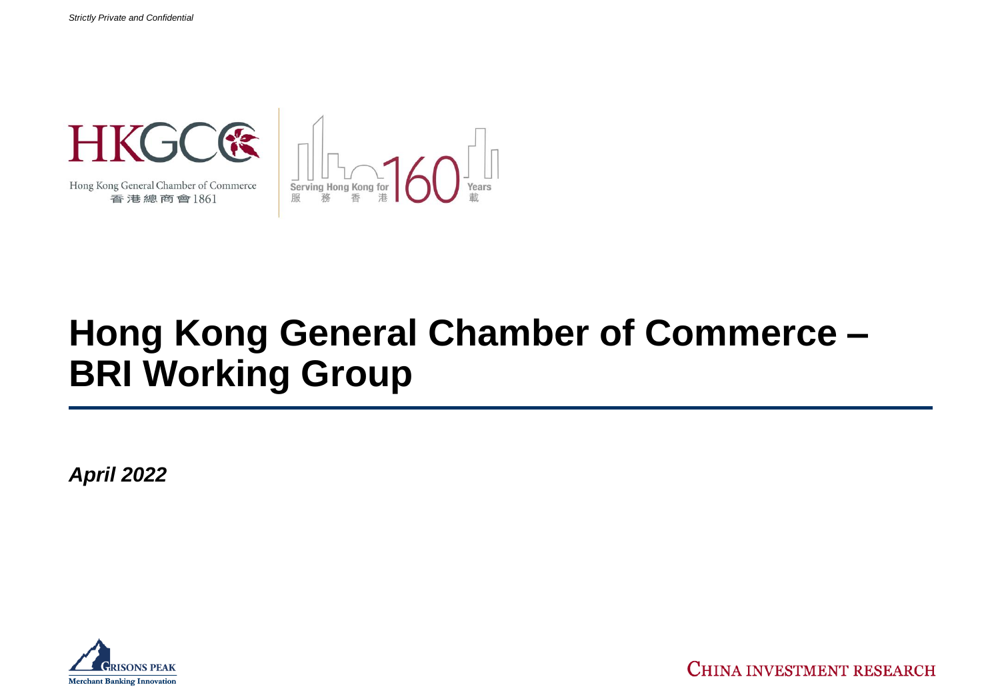

Hong Kong General Chamber of Commerce 香港總商會1861



## **Hong Kong General Chamber of Commerce – BRI Working Group**

*April 2022*



CHINA INVESTMENT RESEARCH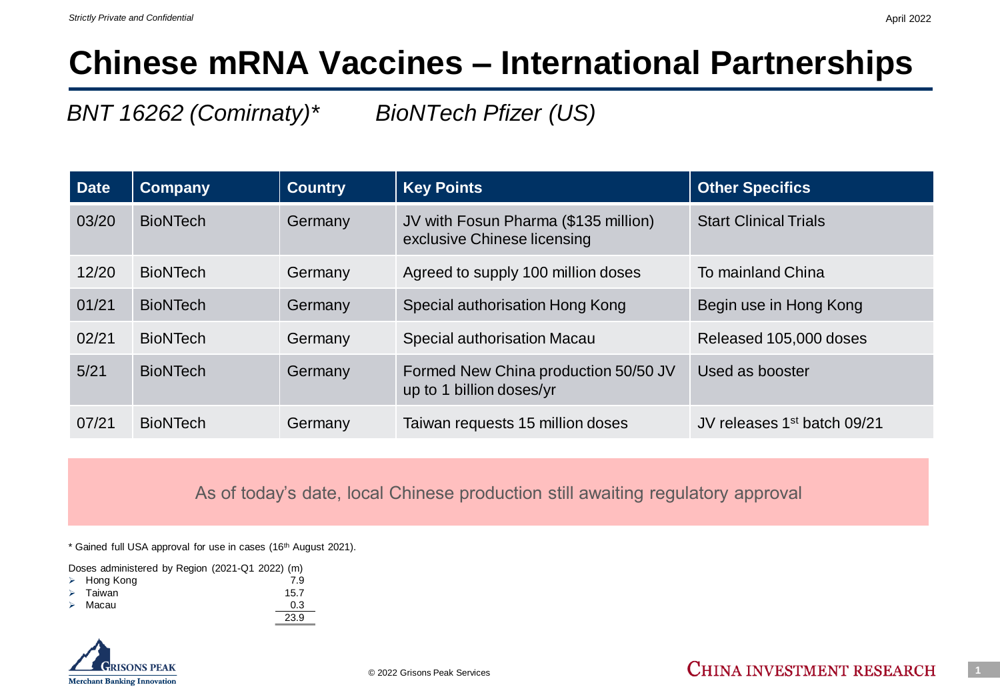### **Chinese mRNA Vaccines – International Partnerships**

*BNT 16262 (Comirnaty)\* BioNTech Pfizer (US)*

| <b>Date</b> | <b>Company</b>  | <b>Country</b> | <b>Key Points</b>                                                   | <b>Other Specifics</b>                  |
|-------------|-----------------|----------------|---------------------------------------------------------------------|-----------------------------------------|
| 03/20       | <b>BioNTech</b> | Germany        | JV with Fosun Pharma (\$135 million)<br>exclusive Chinese licensing | <b>Start Clinical Trials</b>            |
| 12/20       | <b>BioNTech</b> | Germany        | Agreed to supply 100 million doses                                  | To mainland China                       |
| 01/21       | <b>BioNTech</b> | Germany        | Special authorisation Hong Kong                                     | Begin use in Hong Kong                  |
| 02/21       | <b>BioNTech</b> | Germany        | Special authorisation Macau                                         | Released 105,000 doses                  |
| 5/21        | <b>BioNTech</b> | Germany        | Formed New China production 50/50 JV<br>up to 1 billion doses/yr    | Used as booster                         |
| 07/21       | <b>BioNTech</b> | Germany        | Taiwan requests 15 million doses                                    | JV releases 1 <sup>st</sup> batch 09/21 |

As of today's date, local Chinese production still awaiting regulatory approval

\* Gained full USA approval for use in cases (16th August 2021).

23.9

Doses administered by Region (2021-Q1 2022) (m)

- ➢ Hong Kong 7.9
- Taiwan 15.7 Macau 0.3
- 

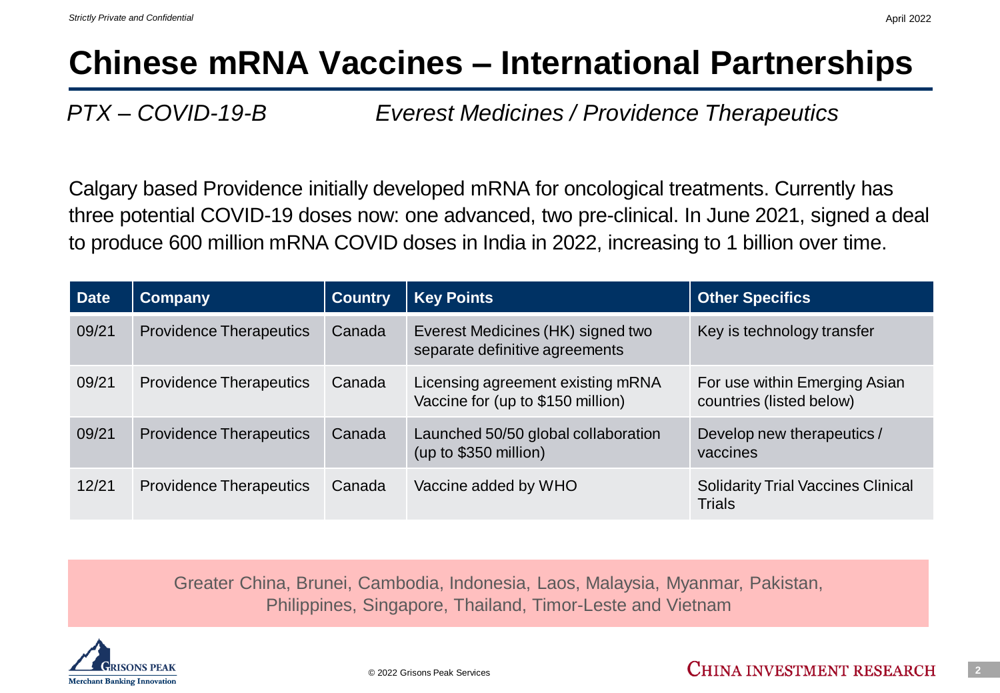### **Chinese mRNA Vaccines – International Partnerships**

*PTX – COVID-19-B Everest Medicines / Providence Therapeutics*

Calgary based Providence initially developed mRNA for oncological treatments. Currently has three potential COVID-19 doses now: one advanced, two pre-clinical. In June 2021, signed a deal to produce 600 million mRNA COVID doses in India in 2022, increasing to 1 billion over time.

| <b>Date</b> | <b>Company</b>                 | <b>Country</b> | <b>Key Points</b>                                                      | <b>Other Specifics</b>                                     |
|-------------|--------------------------------|----------------|------------------------------------------------------------------------|------------------------------------------------------------|
| 09/21       | <b>Providence Therapeutics</b> | Canada         | Everest Medicines (HK) signed two<br>separate definitive agreements    | Key is technology transfer                                 |
| 09/21       | <b>Providence Therapeutics</b> | Canada         | Licensing agreement existing mRNA<br>Vaccine for (up to \$150 million) | For use within Emerging Asian<br>countries (listed below)  |
| 09/21       | <b>Providence Therapeutics</b> | Canada         | Launched 50/50 global collaboration<br>(up to \$350 million)           | Develop new therapeutics /<br>vaccines                     |
| 12/21       | <b>Providence Therapeutics</b> | Canada         | Vaccine added by WHO                                                   | <b>Solidarity Trial Vaccines Clinical</b><br><b>Trials</b> |

Greater China, Brunei, Cambodia, Indonesia, Laos, Malaysia, Myanmar, Pakistan, Philippines, Singapore, Thailand, Timor-Leste and Vietnam

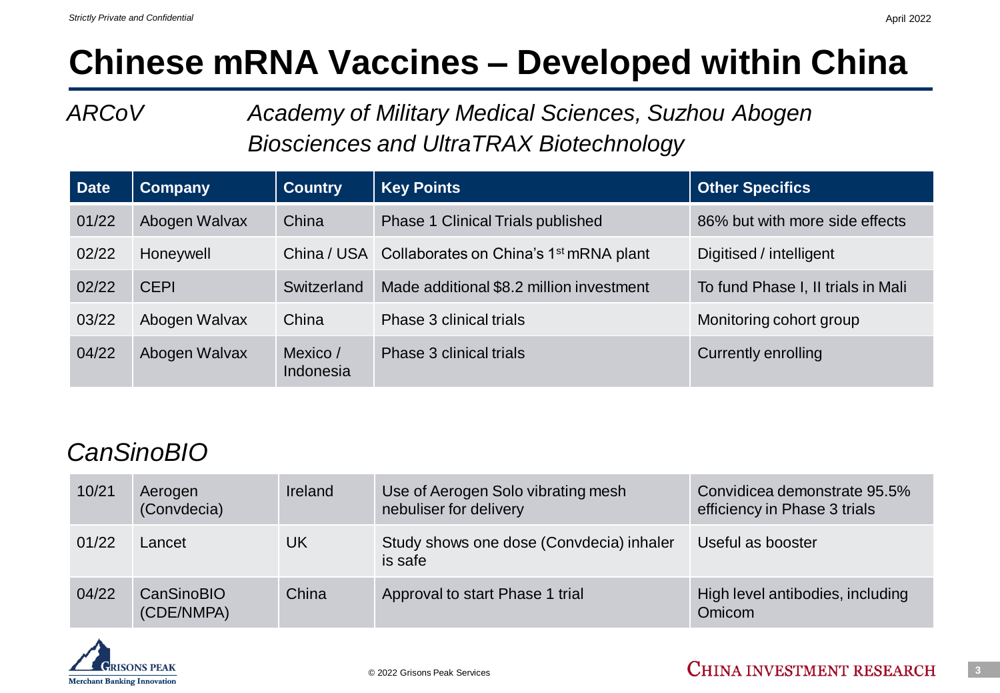## **Chinese mRNA Vaccines – Developed within China**

*ARCoV Academy of Military Medical Sciences, Suzhou Abogen Biosciences and UltraTRAX Biotechnology*

| <b>Date</b> | <b>Company</b> | <b>Country</b>        | <b>Key Points</b>                                              | <b>Other Specifics</b>             |  |
|-------------|----------------|-----------------------|----------------------------------------------------------------|------------------------------------|--|
| 01/22       | Abogen Walvax  | China                 | Phase 1 Clinical Trials published                              | 86% but with more side effects     |  |
| 02/22       | Honeywell      |                       | China / USA Collaborates on China's 1 <sup>st</sup> mRNA plant | Digitised / intelligent            |  |
| 02/22       | <b>CEPI</b>    | Switzerland           | Made additional \$8.2 million investment                       | To fund Phase I, II trials in Mali |  |
| 03/22       | Abogen Walvax  | China                 | Phase 3 clinical trials                                        | Monitoring cohort group            |  |
| 04/22       | Abogen Walvax  | Mexico /<br>Indonesia | Phase 3 clinical trials                                        | Currently enrolling                |  |

### *CanSinoBIO*

| 10/21 | Aerogen<br>(Convdecia)   | Ireland | Use of Aerogen Solo vibrating mesh<br>nebuliser for delivery | Convidicea demonstrate 95.5%<br>efficiency in Phase 3 trials |
|-------|--------------------------|---------|--------------------------------------------------------------|--------------------------------------------------------------|
| 01/22 | Lancet                   | UK      | Study shows one dose (Convdecia) inhaler<br>is safe          | Useful as booster                                            |
| 04/22 | CanSinoBIO<br>(CDE/NMPA) | China   | Approval to start Phase 1 trial                              | High level antibodies, including<br>Omicom                   |



April 2022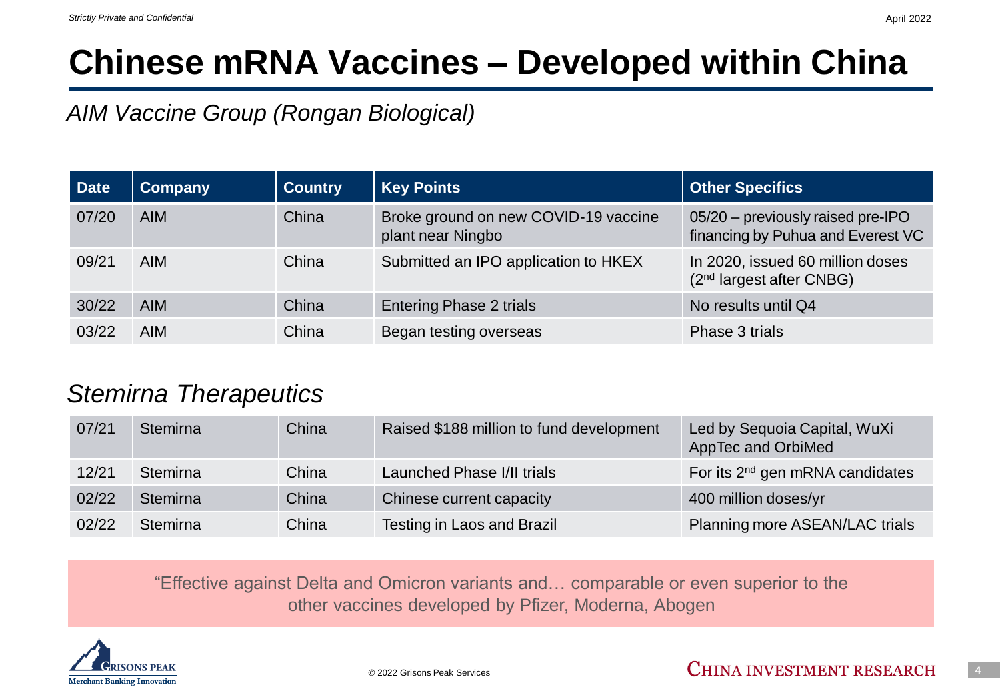### **Chinese mRNA Vaccines – Developed within China**

*AIM Vaccine Group (Rongan Biological)*

| Date  | Company    | <b>Country</b> | <b>Key Points</b>                                         | <b>Other Specifics</b>                                                   |
|-------|------------|----------------|-----------------------------------------------------------|--------------------------------------------------------------------------|
| 07/20 | <b>AIM</b> | China          | Broke ground on new COVID-19 vaccine<br>plant near Ningbo | 05/20 - previously raised pre-IPO<br>financing by Puhua and Everest VC   |
| 09/21 | <b>AIM</b> | China          | Submitted an IPO application to HKEX                      | In 2020, issued 60 million doses<br>(2 <sup>nd</sup> largest after CNBG) |
| 30/22 | <b>AIM</b> | China          | <b>Entering Phase 2 trials</b>                            | No results until Q4                                                      |
| 03/22 | <b>AIM</b> | China          | Began testing overseas                                    | Phase 3 trials                                                           |

#### *Stemirna Therapeutics*

| 07/21 | <b>Stemirna</b> | China | Raised \$188 million to fund development | Led by Sequoia Capital, WuXi<br>AppTec and OrbiMed |
|-------|-----------------|-------|------------------------------------------|----------------------------------------------------|
| 12/21 | Stemirna        | China | Launched Phase I/II trials               | For its 2 <sup>nd</sup> gen mRNA candidates        |
| 02/22 | Stemirna        | China | Chinese current capacity                 | 400 million doses/yr                               |
| 02/22 | Stemirna        | China | Testing in Laos and Brazil               | Planning more ASEAN/LAC trials                     |

"Effective against Delta and Omicron variants and… comparable or even superior to the other vaccines developed by Pfizer, Moderna, Abogen

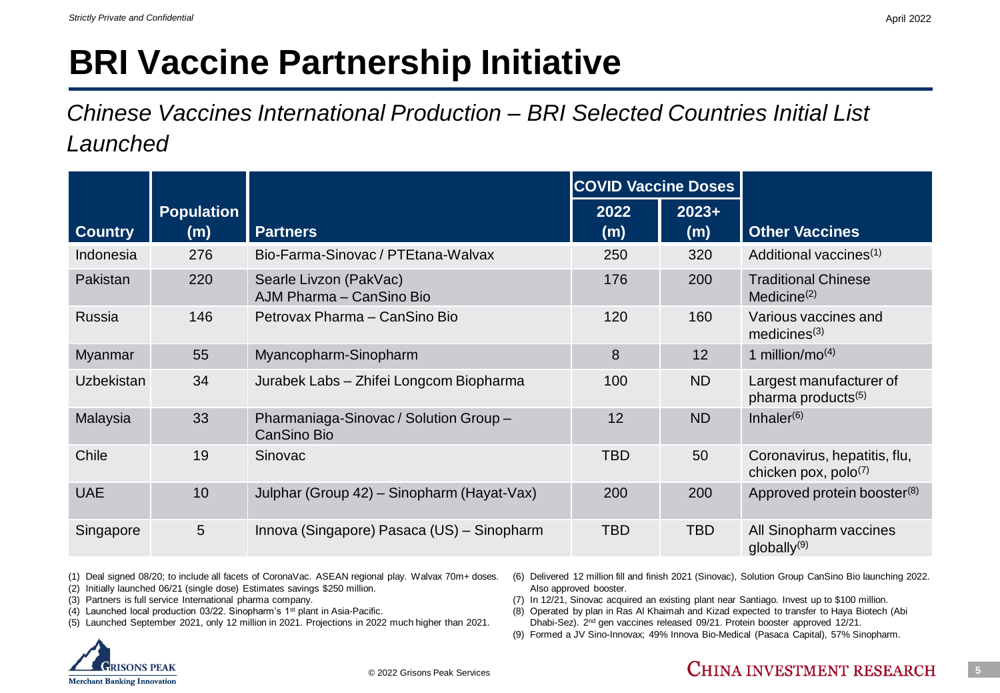# **BRI Vaccine Partnership Initiative**

*Chinese Vaccines International Production – BRI Selected Countries Initial List Launched*

|                |                          |                                                       | <b>COVID Vaccine Doses</b> |                |                                                           |
|----------------|--------------------------|-------------------------------------------------------|----------------------------|----------------|-----------------------------------------------------------|
| <b>Country</b> | <b>Population</b><br>(m) | <b>Partners</b>                                       | 2022<br>(m)                | $2023+$<br>(m) | <b>Other Vaccines</b>                                     |
| Indonesia      | 276                      | Bio-Farma-Sinovac / PTEtana-Walvax                    | 250                        | 320            | Additional vaccines <sup>(1)</sup>                        |
| Pakistan       | 220                      | Searle Livzon (PakVac)<br>AJM Pharma - CanSino Bio    | 176                        | 200            | <b>Traditional Chinese</b><br>Medicine $(2)$              |
| Russia         | 146                      | Petrovax Pharma - CanSino Bio                         | 120                        | 160            | Various vaccines and<br>medicines $(3)$                   |
| <b>Myanmar</b> | 55                       | Myancopharm-Sinopharm                                 | 8                          | 12             | 1 million/mo <sup><math>(4)</math></sup>                  |
| Uzbekistan     | 34                       | Jurabek Labs - Zhifei Longcom Biopharma               | 100                        | <b>ND</b>      | Largest manufacturer of<br>pharma products <sup>(5)</sup> |
| Malaysia       | 33                       | Pharmaniaga-Sinovac / Solution Group -<br>CanSino Bio | 12                         | <b>ND</b>      | Inhaler $(6)$                                             |
| Chile          | 19                       | Sinovac                                               | <b>TBD</b>                 | 50             | Coronavirus, hepatitis, flu,<br>chicken pox, $polo^{(7)}$ |
| <b>UAE</b>     | 10                       | Julphar (Group 42) - Sinopharm (Hayat-Vax)            | 200                        | 200            | Approved protein booster <sup>(8)</sup>                   |
| Singapore      | 5                        | Innova (Singapore) Pasaca (US) - Sinopharm            | <b>TBD</b>                 | <b>TBD</b>     | All Sinopharm vaccines<br>$q$ lobally $(9)$               |

(1) Deal signed 08/20; to include all facets of CoronaVac. ASEAN regional play. Walvax 70m+ doses.

- (2) Initially launched 06/21 (single dose) Estimates savings \$250 million.
- (3) Partners is full service International pharma company.
- (4) Launched local production 03/22. Sinopharm's 1st plant in Asia-Pacific.
- (5) Launched September 2021, only 12 million in 2021. Projections in 2022 much higher than 2021.



- (7) In 12/21, Sinovac acquired an existing plant near Santiago. Invest up to \$100 million.
- (8) Operated by plan in Ras Al Khaimah and Kizad expected to transfer to Haya Biotech (Abi Dhabi-Sez). 2nd gen vaccines released 09/21. Protein booster approved 12/21.
- (9) Formed a JV Sino-Innovax; 49% Innova Bio-Medical (Pasaca Capital), 57% Sinopharm.

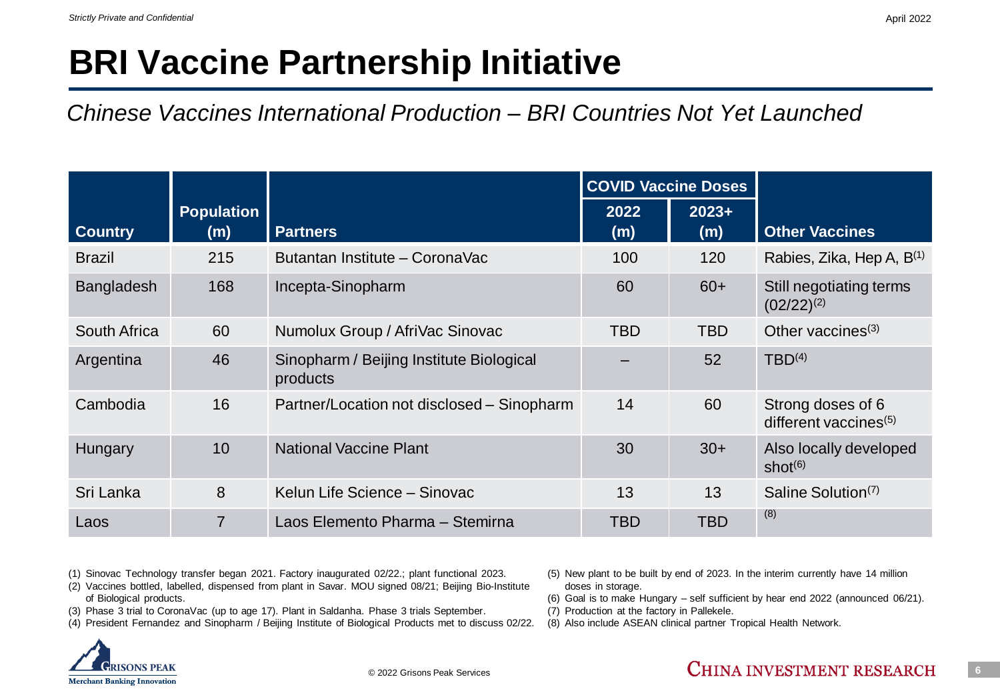### **BRI Vaccine Partnership Initiative**

#### *Chinese Vaccines International Production – BRI Countries Not Yet Launched*

|                |                          |                                                      |             | <b>COVID Vaccine Doses</b> |                                               |
|----------------|--------------------------|------------------------------------------------------|-------------|----------------------------|-----------------------------------------------|
| <b>Country</b> | <b>Population</b><br>(m) | <b>Partners</b>                                      | 2022<br>(m) | $2023+$<br>(m)             | <b>Other Vaccines</b>                         |
| <b>Brazil</b>  | 215                      | Butantan Institute - CoronaVac                       | 100         | 120                        | Rabies, Zika, Hep A, B <sup>(1)</sup>         |
| Bangladesh     | 168                      | Incepta-Sinopharm                                    | 60          | $60+$                      | Still negotiating terms<br>$(02/22)^{(2)}$    |
| South Africa   | 60                       | Numolux Group / AfriVac Sinovac                      | <b>TBD</b>  | <b>TBD</b>                 | Other vaccines <sup>(3)</sup>                 |
| Argentina      | 46                       | Sinopharm / Beijing Institute Biological<br>products |             | 52                         | TBD <sup>(4)</sup>                            |
| Cambodia       | 16                       | Partner/Location not disclosed – Sinopharm           | 14          | 60                         | Strong doses of 6<br>different vaccines $(5)$ |
| <b>Hungary</b> | 10                       | <b>National Vaccine Plant</b>                        | 30          | $30+$                      | Also locally developed<br>shot $(6)$          |
| Sri Lanka      | 8                        | Kelun Life Science - Sinovac                         | 13          | 13                         | Saline Solution <sup>(7)</sup>                |
| Laos           | 7                        | Laos Elemento Pharma - Stemirna                      | TBD         | TBD                        | (8)                                           |

(1) Sinovac Technology transfer began 2021. Factory inaugurated 02/22.; plant functional 2023.

- (2) Vaccines bottled, labelled, dispensed from plant in Savar. MOU signed 08/21; Beijing Bio-Institute of Biological products.
- (3) Phase 3 trial to CoronaVac (up to age 17). Plant in Saldanha. Phase 3 trials September.
- (4) President Fernandez and Sinopharm / Beijing Institute of Biological Products met to discuss 02/22.



- (5) New plant to be built by end of 2023. In the interim currently have 14 million doses in storage.
- (6) Goal is to make Hungary self sufficient by hear end 2022 (announced 06/21).
- (7) Production at the factory in Pallekele.
- (8) Also include ASEAN clinical partner Tropical Health Network.